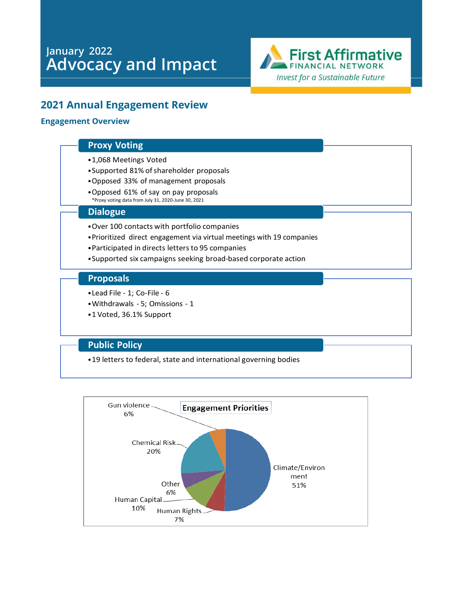# **January 2022 Advocacy and Impact**



# **2021 Annual Engagement Review**

#### **Engagement Overview**

#### **Proxy Voting**

- •1,068 Meetings Voted
- Supported 81% of shareholder proposals
- •Opposed 33% of management proposals
- •Opposed 61% of say on pay proposals \*Proxy voting data from July 31, 2020-June 30, 2021

#### **Dialogue**

- •Over 100 contacts with portfolio companies
- •Prioritized direct engagement via virtual meetings with 19 companies
- Participated in directs letters to 95 companies
- •Supported six campaigns seeking broad-based corporate action

#### **Proposals**

- •Lead File 1; Co-File 6
- •Withdrawals 5; Omissions 1
- •1 Voted, 36.1% Support

#### **Public Policy**

•19 letters to federal, state and international governing bodies

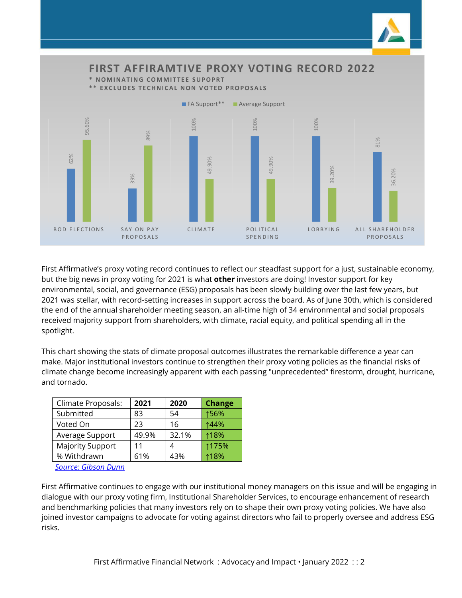

First Affirmative's proxy voting record continues to reflect our steadfast support for a just, sustainable economy, but the big news in proxy voting for 2021 is what **other** investors are doing! Investor support for key environmental, social, and governance (ESG) proposals has been slowly building over the last few years, but 2021 was stellar, with record-setting increases in support across the board. As of June 30th, which is considered the end of the annual shareholder meeting season, an all-time high of 34 environmental and social proposals received majority support from shareholders, with climate, racial equity, and political spending all in the spotlight.

This chart showing the stats of climate proposal outcomes illustrates the remarkable difference a year can make. Major institutional investors continue to strengthen their proxy voting policies as the financial risks of climate change become increasingly apparent with each passing "unprecedented" firestorm, drought, hurricane, and tornado.

| Climate Proposals:      | 2021  | 2020  | <b>Change</b> |
|-------------------------|-------|-------|---------------|
| Submitted               | 83    | 54    | ↑56%          |
| Voted On                | 23    | 16    | 144%          |
| Average Support         | 49.9% | 32.1% | ↑18%          |
| <b>Majority Support</b> | 11    |       | ↑175%         |
| % Withdrawn             | 61%   | 43%   | 118%          |

*[Source: Gibson Dunn](https://www.gibsondunn.com/shareholder-proposal-developments-during-the-2021-proxy-season/)*

First Affirmative continues to engage with our institutional money managers on this issue and will be engaging in dialogue with our proxy voting firm, Institutional Shareholder Services, to encourage enhancement of research and benchmarking policies that many investors rely on to shape their own proxy voting policies. We have also joined investor campaigns to advocate for voting against directors who fail to properly oversee and address ESG risks.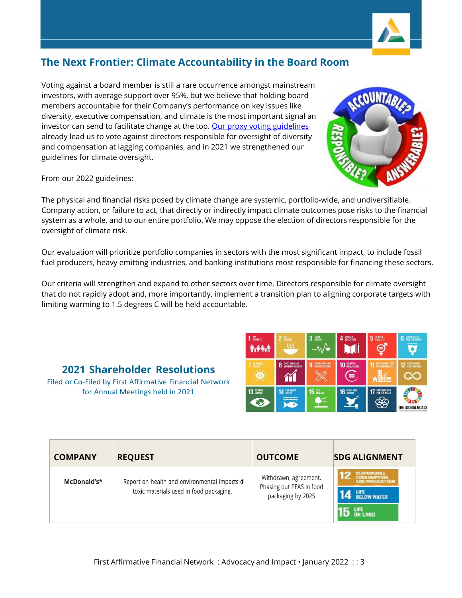

# **The Next Frontier: Climate Accountability in the Board Room**

Voting against a board member is still a rare occurrence amongst mainstream investors, with average support over 95%, but we believe that holding board members accountable for their Company's performance on key issues like diversity, executive compensation, and climate is the most important signal an investor can send to facilitate change at the top[. Our proxy voting guidelines](https://www.firstaffirmative.com/wp-content/uploads/2022/01/2022-Proxy-Voting-Guiedelines-Final.pdf) already lead us to vote against directors responsible for oversight of diversity and compensation at lagging companies, and in 2021 we strengthened our guidelines for climate oversight.

From our 2022 guidelines:

The physical and financial risks posed by climate change are systemic, portfolio-wide, and undiversifiable. Company action, or failure to act, that directly or indirectly impact climate outcomes pose risks to the financial system as a whole, and to our entire portfolio. We may oppose the election of directors responsible for the oversight of climate risk.

Our evaluation will prioritize portfolio companies in sectors with the most significant impact, to include fossil fuel producers, heavy emitting industries, and banking institutions most responsible for financing these sectors.

Our criteria will strengthen and expand to other sectors over time. Directors responsible for climate oversight that do not rapidly adopt and, more importantly, implement a transition plan to aligning corporate targets with limiting warming to 1.5 degrees C will be held accountable.

## **2021 Shareholder Resolutions**

Filed or Co-Filed by First Affirmative Financial Network for Annual Meetings held in 2021

| McDonald's* | Report on health and environmental impacts of<br>toxic materials used in food packaging. | Withdrawn, agreement.<br>Phasing out PFAS in food<br>packaging by 2025 | <b>RESPONSIBLE</b><br>CONSUMPTION<br>AND PRODUCTION<br>LIFE BELOW WATER<br>LIFE<br>On Land |
|-------------|------------------------------------------------------------------------------------------|------------------------------------------------------------------------|--------------------------------------------------------------------------------------------|
|             |                                                                                          |                                                                        |                                                                                            |

**COMPANY REQUEST OUTCOME SDG ALIGNMENT**





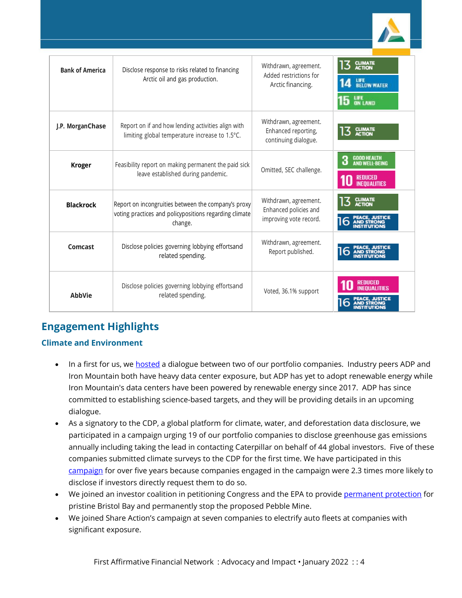| <b>Bank of America</b> | Disclose response to risks related to financing<br>Arctic oil and gas production.                                        | Withdrawn, agreement.<br>Added restrictions for<br>Arctic financing.     | 13 GLIMATE<br>LIFE<br>BELOW WATER<br>LIFE<br>On Land                               |
|------------------------|--------------------------------------------------------------------------------------------------------------------------|--------------------------------------------------------------------------|------------------------------------------------------------------------------------|
| J.P. MorganChase       | Report on if and how lending activities align with<br>limiting global temperature increase to 1.5°C.                     | Withdrawn, agreement.<br>Enhanced reporting,<br>continuing dialogue.     | <b>CLIMATE</b><br><b>ACTION</b>                                                    |
| <b>Kroger</b>          | Feasibility report on making permanent the paid sick<br>leave established during pandemic.                               | Omitted, SEC challenge.                                                  | <b>GOOD HEALTH</b><br>3<br><b>AND WELL-BEING</b><br>REDUCED<br><b>INEQUALITIES</b> |
| <b>Blackrock</b>       | Report on incongruities between the company's proxy<br>voting practices and policypositions regarding climate<br>change. | Withdrawn, agreement.<br>Enhanced policies and<br>improving vote record. | <b>CLIMATE</b><br>ACTION                                                           |
| Comcast                | Disclose policies governing lobbying effortsand<br>related spending.                                                     | Withdrawn, agreement.<br>Report published.                               |                                                                                    |
| <b>AbbVie</b>          | Disclose policies governing lobbying effortsand<br>related spending.                                                     | Voted, 36.1% support                                                     |                                                                                    |

# **Engagement Highlights**

## **Climate and Environment**

- In a first for us, w[e hosted](https://www.firstaffirmative.com/advocacy-campaigns/) a dialogue between two of our portfolio companies. Industry peers ADP and Iron Mountain both have heavy data center exposure, but ADP has yet to adopt renewable energy while Iron Mountain's data centers have been powered by renewable energy since 2017. ADP has since committed to establishing science-based targets, and they will be providing details in an upcoming dialogue.
- As a signatory to the CDP, a global platform for climate, water, and deforestation data disclosure, we participated in a campaign urging 19 of our portfolio companies to disclose greenhouse gas emissions annually including taking the lead in contacting Caterpillar on behalf of 44 global investors. Five of these companies submitted climate surveys to the CDP for the first time. We have participated in this [campaign](https://www.cdp.net/en/investor/engage-with-companies/non-disclosure-campaign) for over five years because companies engaged in the campaign were 2.3 times more likely to disclose if investors directly request them to do so.
- We joined an investor coalition in petitioning Congress and the EPA to provide [permanent protection](https://www.firstaffirmative.com/advocacy-impact-october-2021/) for pristine Bristol Bay and permanently stop the proposed Pebble Mine.
- We joined Share Action's campaign at seven companies to electrify auto fleets at companies with significant exposure.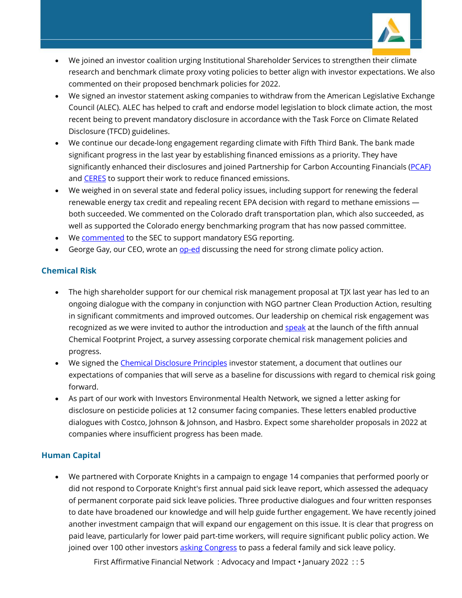

- We joined an investor coalition urging Institutional Shareholder Services to strengthen their climate research and benchmark climate proxy voting policies to better align with investor expectations. We also commented on their proposed benchmark policies for 2022.
- We signed an investor statement asking companies to withdraw from the American Legislative Exchange Council (ALEC). ALEC has helped to craft and endorse model legislation to block climate action, the most recent being to prevent mandatory disclosure in accordance with the Task Force on Climate Related Disclosure (TFCD) guidelines.
- We continue our decade-long engagement regarding climate with Fifth Third Bank. The bank made significant progress in the last year by establishing financed emissions as a priority. They have significantly enhanced their disclosures and joined Partnership for Carbon Accounting Financials [\(PCAF\)](https://carbonaccountingfinancials.com/) and [CERES](https://www.ceres.org/about-us) to support their work to reduce financed emissions.
- We weighed in on several state and federal policy issues, including support for renewing the federal renewable energy tax credit and repealing recent EPA decision with regard to methane emissions both succeeded. We commented on the Colorado draft transportation plan, which also succeeded, as well as supported the Colorado energy benchmarking program that has now passed committee.
- We [commented](https://www.sec.gov/comments/climate-disclosure/cll12-8857333-239810.pdf) to the SEC to support mandatory ESG reporting.
- George Gay, our CEO, wrote an [op-ed](https://coloradosun.com/2021/07/24/opinion-colorados-aggressive-clean-energy-policy-will-grow-the-economy/) discussing the need for strong climate policy action.

#### **Chemical Risk**

- The high shareholder support for our chemical risk management proposal at TJX last year has led to an ongoing dialogue with the company in conjunction with NGO partner Clean Production Action, resulting in significant commitments and improved outcomes. Our leadership on chemical risk engagement was recognized as we were invited to author the introduction and [speak](https://www.chemicalfootprint.org/news/event/cfp-2020-report-webinar) at the launch of the fifth annual Chemical Footprint Project, a survey assessing corporate chemical risk management policies and progress.
- We signed th[e Chemical Disclosure Principles](https://www.cleanproduction.org/resources/entry/principles-for-chemical-ingredient-disclosure) investor statement, a document that outlines our expectations of companies that will serve as a baseline for discussions with regard to chemical risk going forward.
- As part of our work with Investors Environmental Health Network, we signed a letter asking for disclosure on pesticide policies at 12 consumer facing companies. These letters enabled productive dialogues with Costco, Johnson & Johnson, and Hasbro. Expect some shareholder proposals in 2022 at companies where insufficient progress has been made.

## **Human Capital**

• We partnered with Corporate Knights in a campaign to engage 14 companies that performed poorly or did not respond to Corporate Knight's first annual paid sick leave report, which assessed the adequacy of permanent corporate paid sick leave policies. Three productive dialogues and four written responses to date have broadened our knowledge and will help guide further engagement. We have recently joined another investment campaign that will expand our engagement on this issue. It is clear that progress on paid leave, particularly for lower paid part-time workers, will require significant public policy action. We joined over 100 other investor[s asking Congress](https://www.reuters.com/business/finance/investors-with-16-trillion-assets-push-congress-back-paid-leave-2021-09-28/) to pass a federal family and sick leave policy.

First Affirmative Financial Network : Advocacy and Impact • January 2022 : : 5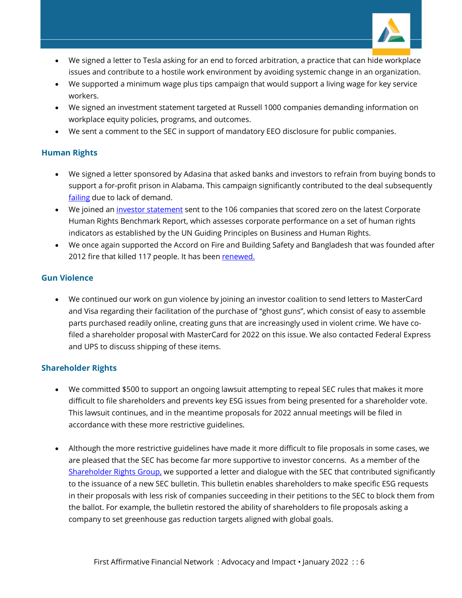

- We signed a letter to Tesla asking for an end to forced arbitration, a practice that can hide workplace issues and contribute to a hostile work environment by avoiding systemic change in an organization.
- We supported a minimum wage plus tips campaign that would support a living wage for key service workers.
- We signed an investment statement targeted at Russell 1000 companies demanding information on workplace equity policies, programs, and outcomes.
- We sent a comment to the SEC in support of mandatory EEO disclosure for public companies.

#### **Human Rights**

- We signed a letter sponsored by Adasina that asked banks and investors to refrain from buying bonds to support a for-profit prison in Alabama. This campaign significantly contributed to the deal subsequently [failing](https://www.forbes.com/sites/morgansimon/2021/04/21/toxic-alabama-private-prison-deal-falling-apart-with-barclays-exit/?sh=2593db852f07) due to lack of demand.
- We joined an [investor statement](https://investorsforhumanrights.org/sites/default/files/attachments/2021-02/Public%20Statement%20Calling%20on%20Companies%20to%20Improve%20Human%20Rights%20Performance%20-%20Feb%202021_0.pdf) sent to the 106 companies that scored zero on the latest Corporate Human Rights Benchmark Report, which assesses corporate performance on a set of human rights indicators as established by the UN Guiding Principles on Business and Human Rights.
- We once again supported the Accord on Fire and Building Safety and Bangladesh that was founded after 2012 fire that killed 117 people. It has been [renewed.](https://www.reuters.com/business/retail-consumer/exclusive-retailers-unions-extend-legally-binding-worker-safety-accord-2021-08-25/)

#### **Gun Violence**

• We continued our work on gun violence by joining an investor coalition to send letters to MasterCard and Visa regarding their facilitation of the purchase of "ghost guns", which consist of easy to assemble parts purchased readily online, creating guns that are increasingly used in violent crime. We have cofiled a shareholder proposal with MasterCard for 2022 on this issue. We also contacted Federal Express and UPS to discuss shipping of these items.

#### **Shareholder Rights**

- We committed \$500 to support an ongoing lawsuit attempting to repeal SEC rules that makes it more difficult to file shareholders and prevents key ESG issues from being presented for a shareholder vote. This lawsuit continues, and in the meantime proposals for 2022 annual meetings will be filed in accordance with these more restrictive guidelines.
- Although the more restrictive guidelines have made it more difficult to file proposals in some cases, we are pleased that the SEC has become far more supportive to investor concerns. As a member of the [Shareholder Rights Group,](http://www.shareholderrightsgroup.com/) we supported a letter and dialogue with the SEC that contributed significantly to the issuance of a new SEC bulletin. This bulletin enables shareholders to make specific ESG requests in their proposals with less risk of companies succeeding in their petitions to the SEC to block them from the ballot. For example, the bulletin restored the ability of shareholders to file proposals asking a company to set greenhouse gas reduction targets aligned with global goals.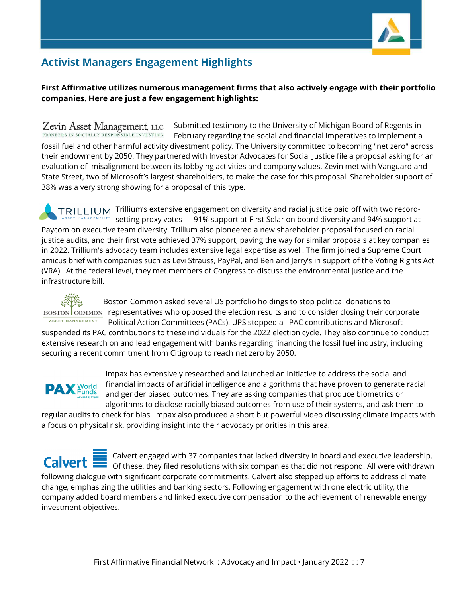

# **Activist Managers Engagement Highlights**

### **First Affirmative utilizes numerous management firms that also actively engage with their portfolio companies. Here are just a few engagement highlights:**

Submitted testimony to the University of Michigan Board of Regents in Zevin Asset Management, LLC PIONEERS IN SOCIALLY RESPONSIBLE INVESTING February regarding the social and financial imperatives to implement a fossil fuel and other harmful activity divestment policy. The University committed to becoming "net zero" across their endowment by 2050. They partnered with Investor Advocates for Social Justice file a proposal asking for an evaluation of misalignment between its lobbying activities and company values. Zevin met with Vanguard and State Street, two of Microsoft's largest shareholders, to make the case for this proposal. Shareholder support of 38% was a very strong showing for a proposal of this type.

TRILLIUM Trillium's extensive engagement on diversity and racial justice paid off with two recordsetting proxy votes — 91% support at First Solar on board diversity and 94% support at Paycom on executive team diversity. Trillium also pioneered a new shareholder proposal focused on racial justice audits, and their first vote achieved 37% support, paving the way for similar proposals at key companies in 2022. Trillium's advocacy team includes extensive legal expertise as well. The firm joined a Supreme Court amicus brief with companies such as Levi Strauss, PayPal, and Ben and Jerry's in support of the Voting Rights Act (VRA). At the federal level, they met members of Congress to discuss the environmental justice and the infrastructure bill.



 Boston Common asked several US portfolio holdings to stop political donations to BOSTON COMMON representatives who opposed the election results and to consider closing their corporate Political Action Committees (PACs). UPS stopped all PAC contributions and Microsoft

suspended its PAC contributions to these individuals for the 2022 election cycle. They also continue to conduct extensive research on and lead engagement with banks regarding financing the fossil fuel industry, including securing a recent commitment from Citigroup to reach net zero by 2050.



Impax has extensively researched and launched an initiative to address the social and financial impacts of artificial intelligence and algorithms that have proven to generate racial and gender biased outcomes. They are asking companies that produce biometrics or algorithms to disclose racially biased outcomes from use of their systems, and ask them to

regular audits to check for bias. Impax also produced a short but powerful video discussing climate impacts with a focus on physical risk, providing insight into their advocacy priorities in this area.

 $\frac{1}{2}$  Calvert engaged with 37 companies that lacked diversity in board and executive leadership. **Calvert i** Of these, they filed resolutions with six companies that did not respond. All were withdrawn following dialogue with significant corporate commitments. Calvert also stepped up efforts to address climate change, emphasizing the utilities and banking sectors. Following engagement with one electric utility, the company added board members and linked executive compensation to the achievement of renewable energy investment objectives.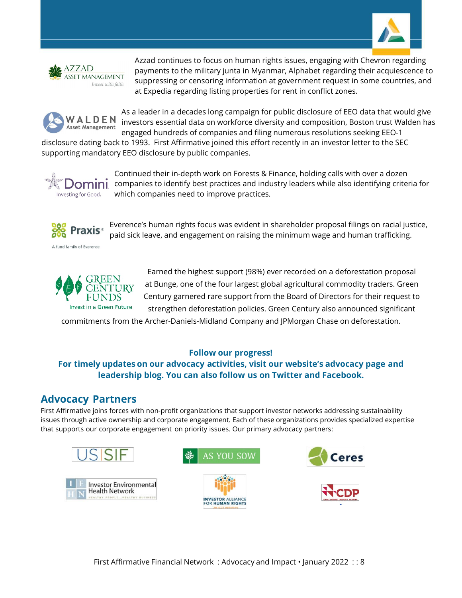



Azzad continues to focus on human rights issues, engaging with Chevron regarding payments to the military junta in Myanmar, Alphabet regarding their acquiescence to suppressing or censoring information at government request in some countries, and at Expedia regarding listing properties for rent in conflict zones.



As a leader in a decades long campaign for public disclosure of EEO data that would give investors essential data on workforce diversity and composition, Boston trust Walden has engaged hundreds of companies and filing numerous resolutions seeking EEO-1

disclosure dating back to 1993. First Affirmative joined this effort recently in an investor letter to the SEC supporting mandatory EEO disclosure by public companies.



Continued their in-depth work on Forests & Finance, holding calls with over a dozen companies to identify best practices and industry leaders while also identifying criteria for which companies need to improve practices.



Everence's human rights focus was evident in shareholder proposal filings on racial justice, paid sick leave, and engagement on raising the minimum wage and human trafficking.



Earned the highest support (98%) ever recorded on a deforestation proposal at Bunge, one of the four largest global agricultural commodity traders. Green Century garnered rare support from the Board of Directors for their request to strengthen deforestation policies. Green Century also announced significant

commitments from the Archer-Daniels-Midland Company and JPMorgan Chase on deforestation.

#### **Follow our progress!**

## **For timely updates on our advocacy activities, visit our website's advocacy page and leadership blog. You can also follow us on Twitter and Facebook.**

## **Advocacy Partners**

First Affirmative joins forces with non-profit organizations that support investor networks addressing sustainability issues through active ownership and corporate engagement. Each of these organizations provides specialized expertise that supports our corporate engagement on priority issues. Our primary advocacy partners: